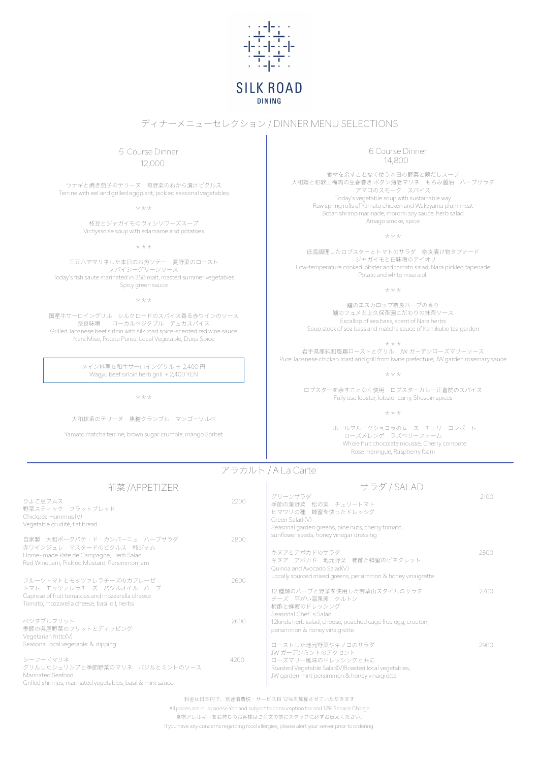

# **SILK ROAD DINING**

料金は日本円で、別途消費税・サービス料 12%を加算させていただきます All prices are in Japanese Yen and subject to consumption tax and 12% Service Charge 食物アレルギーをお持ちのお客様はご注文の前にスタッフに必ずお伝えください。 If you have any concerns regarding food allergies, please alert your server prior to ordering.

前菜 /APPETIZER

ひよこ豆フムス 2200 野菜スティック フラットブレッド Chickpea Hummus (V) Vegetable crudité, flat bread

自家製 大和ポークパテ・ド・カンパーニュ ハーブサラダ 2800 赤ワインジュレ マスタードのピクルス 柿ジャム Home- made Pate de Campagne, Herb Salad Red Wine Jam, Pickled Mustard, Persimmon jam

グリーンサラダ 2100 季節の葉野菜 松の実 チェリートマト ヒマワリの種 蜂蜜を使ったドレッシグ Green Salad (V) Seasonal garden greens, pine nuts, cherry tomato, sunflower seeds, honey vinegar dressing

## ディナーメニューセレクション / DINNER MENU SELECTIONS

#### サラダ / SALAD

| フルーツトマトとモッツァレラチーズのカプレーゼ                                                                                                       | 2600 | Locally sourced mixed greens, persimmon & honey vinaigrette                                                                 |      |
|-------------------------------------------------------------------------------------------------------------------------------|------|-----------------------------------------------------------------------------------------------------------------------------|------|
| トマト モッツァレラチーズ バジルオイル ハーブ<br>Caprese of fruit tomatoes and mozzarella cheese<br>Tomato, mozzarella cheese, basil oil, herbs    |      | 12種類のハーブと野菜を使用した若草山スタイルのサラダ<br> チーズ 平がい温泉卵 クルトン<br> 柿酢と蜂蜜のドレッシング                                                            | 2700 |
| ベジタブルフリット<br>季節の県産野菜のフリットとディッピング<br>Vegetarian fritto $(V)$                                                                   | 2600 | Seasonal Chef's Salad<br>1 12kinds herb salad, cheese, poached cage free egg, crouton,<br>persimmon & honey vinaigrette     |      |
| Seasonal local vegetable & dipping                                                                                            |      | ┃ ローストした地元野菜やキノコのサラダ<br>┃ JW ガーデンミントのアクセント                                                                                  | 2900 |
| シーフードマリネ<br>グリルしたシュリンプと季節野菜のマリネ バジルとミントのソース<br>Marinated Seafood<br>Grilled shrimps, marinated vegetables, basil & mint sauce | 4200 | ┃ローズマリー風味のドレッシングと共に <br>Roasted Vegetable Salad(V)Roasted local vegetables,<br>JW garden mint persimmon & honey vinaigrette |      |

キヌアとアボカドのサラダ 2500 キヌア アボカド 地元野菜 柿酢と蜂蜜のビネグレット Quinoa and Avocado Salad(V)

 5 Course Dinner 12,000

ウナギと焼き茄子のテリーヌ 旬野菜のおから漬けピクルス Terrine with eel and grilled eggplant, pickled seasonal vegetables

 $***$ 

枝豆とジャガイモのヴィシソワーズスープ Vichyssoise soup with edamame and potatoes

\*\*\*

三五八でマリネした本日のお魚ソテー 夏野菜のロースト スパイシーグリーンソース Today's fish saute marinated in 358 malt, roasted summer vegetables Spicy green sauce

 $***$ 

国産牛サーロイングリル シルクロードのスパイス香る赤ワインのソース 奈良味噌 ローカルベジタブル デュカスパイス Grilled Japanese beef sirloin with silk road spice-scented red wine sauce Nara Miso, Potato Puree, Local Vegetable, Duqa Spice

> メイン料理を和牛サーロイングリル + 2,400 円 Wagyu beef sirloin herb grill + 2,400 YEN

> > $***$

大和抹茶のテリーヌ 黒糖クランブル マンゴーソルベ

Yamato matcha terrine, brown sugar crumble, mango Sorbet

 6 Course Dinner 14,800

食材を余すことなく使う本日の野菜と鶏だしスープ 大和鶏と和歌山梅肉の生春巻き ボタン海老マリネ もろみ醤油 ハーブサラダ アマゴのスモーク スパイス Today's vegetable soup with sustainable way Raw spring rolls of Yamato chicken and Wakayama plum meat Botan shrimp marinade, moromi soy sauce, herb salad Amago smoke, spice

\*\*\*

低温調理したロブスターとトマトのサラダ 奈良漬け物タプナード ジャガイモと白味噌のアイオリ Low-temperature cooked lobster and tomato salad, Nara pickled tapenade Potato and white miso aioli

\*\*\*

鱸のエスカロップ奈良ハーブの香り 鱸のフュメと上久保茶園こだわりの抹茶ソース Escallop of sea bass, scent of Nara herbs Soup stock of sea bass and matcha sauce of Kamikubo tea garden

\*\*\* 岩手県産純和風鶏ローストとグリル JW ガーデンローズマリーソース Pure Japanese chicken roast and grill from Iwate prefecture, JW garden rosemary sauce

\*\*\*

ロブスターを余すことなく使用 ロブスターカレー正倉院のスパイス Fully use lobster, lobster curry, Shosoin spices

\*\*\*

ホールフルーツショコラのムース チェリーコンポート ローズメレンゲ ラズベリーフォーム Whole fruit chocolate mousse, Cherry compote Rose meringue, Raspberry foam

# アラカルト / A La Carte